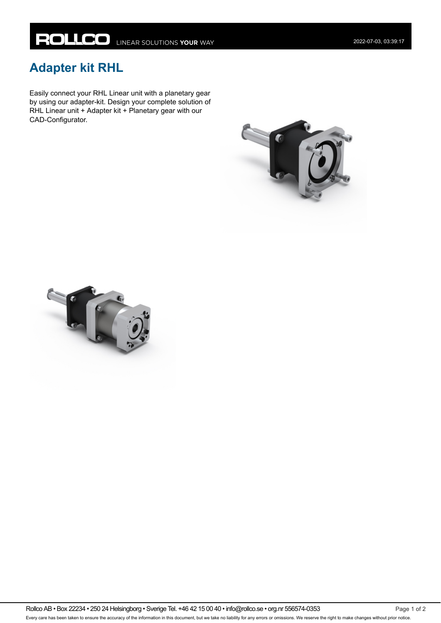## **Adapter kit RHL**

Easily connect your RHL Linear unit with a planetary gear by using our adapter-kit. Design your complete solution of RHL Linear unit + Adapter kit + Planetary gear with our CAD-Configurator.





Rollco AB • Box 22234 • 250 24 Helsingborg • Sverige Tel. +46 42 15 00 40 • info@rollco.se • org.nr 556574-0353 Every care has been taken to ensure the accuracy of the information in this document, but we take no liability for any errors or omissions. We reserve the right to make changes without prior notice.